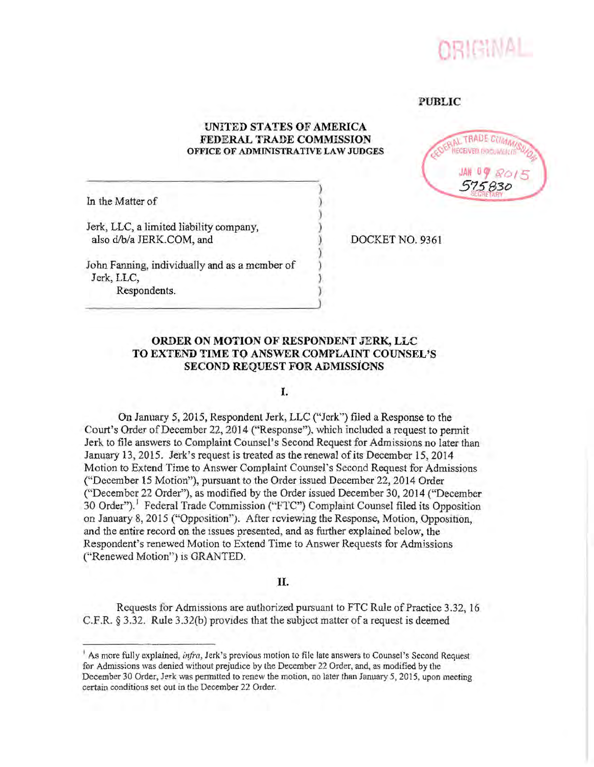

#### **PUBLIC**

## UNITED STATES OF AMERICA FEDERAL TRADE COMMISSION OFFICE OF ADMINISTRATIVE LAW JUDGES



In the Matter of

Jerk, LLC, a limited liability company, also d/b/a JERK.COM, and

DOCKET NO. 9361

John Fanning, individually and as a member of Jerk, LLC, Respondents.

# ORDER ON MOTION OF RESPONDENT JERK, LLC TO EXTEND TIME TO ANSWER COMPLAINT COUNSEL'S **SECOND REQUEST FOR ADMISSIONS**

### I.

On January 5, 2015, Respondent Jerk, LLC ("Jerk") filed a Response to the Court's Order of December 22, 2014 ("Response"), which included a request to permit Jerk to file answers to Complaint Counsel's Second Request for Admissions no later than January 13, 2015. Jerk's request is treated as the renewal of its December 15, 2014 Motion to Extend Time to Answer Complaint Counsel's Second Request for Admissions ("December 15 Motion"), pursuant to the Order issued December 22, 2014 Order ("December 22 Order"), as modified by the Order issued December 30, 2014 ("December 30 Order").<sup>1</sup> Federal Trade Commission ("FTC") Complaint Counsel filed its Opposition on January 8, 2015 ("Opposition"). After reviewing the Response, Motion, Opposition, and the entire record on the issues presented, and as further explained below, the Respondent's renewed Motion to Extend Time to Answer Requests for Admissions ("Renewed Motion") is GRANTED.

#### П.

Requests for Admissions are authorized pursuant to FTC Rule of Practice 3.32, 16 C.F.R.  $\S 3.32$ . Rule 3.32(b) provides that the subject matter of a request is deemed

As more fully explained, *infra*, Jerk's previous motion to file late answers to Counsel's Second Request for Admissions was denied without prejudice by the December 22 Order, and, as modified by the December 30 Order, Jerk was permitted to renew the motion, no later than January 5, 2015, upon meeting certain conditions set out in the December 22 Order.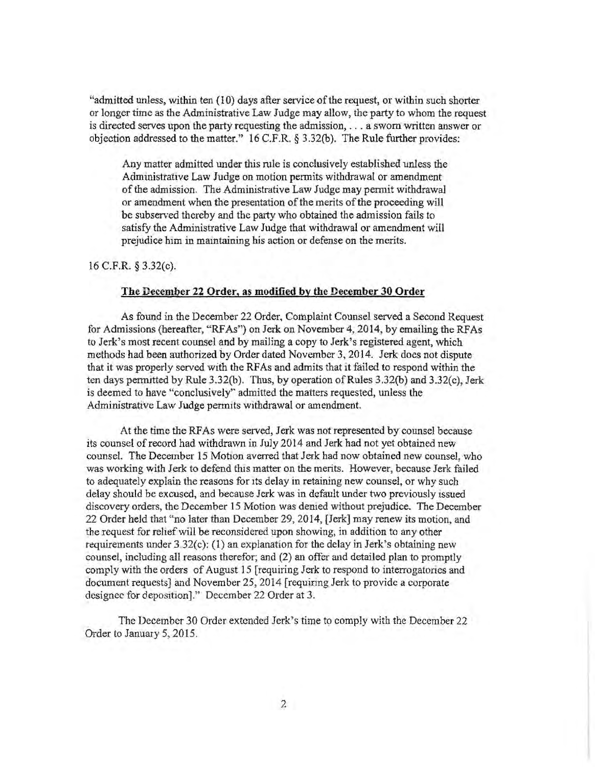"admitted unless, within ten (10) days after serviceofthe request, or within such shorter or longer time as the Administrative Law Judge may allow, the party to whom the request is directed serves upon the party requesting the admission, ... a sworn written answer or objection addressed to the matter."  $16$  C.F.R. § 3.32(b). The Rule further provides:

Any matter admitted under this rule is conclusively established unless the Administrative Law Judge on motion permits withdrawal or amendment of the admission. The Administrative Law Judge may permit withdrawal or amendment when the presentation of the merits of the proceeding will be subserved thereby and the party who obtained the admission fails to satisfy the Administrative Law Judge that withdrawal or amendment will prejudice him in mamtaining his action or defense on the merits.

16 C.F.R § 3.32(c).

#### The December 22 Order, as modified by the December 30 Order

As found in the December 22 Order, Complaint Counsel served a Second Request for Admissions (hereafter, "RFAs") on Jerk on November 4, 2014, by emailing the RFAs to Jerk's most recent counsel and by mailing a copy to Jerk's registered agent, which methods had been authorized by Order dated November 3, 2014. Jerk does not dispute that it was properly served with the RFAs and admits that it failed to respond within the ten days permitted by Rule 3.32(b). Thus, by operation qfRules 3.32(b) and 3.32(c), Jerk is deemed to have "conclusively'' admitted the matters requested, unless the Administrative Law Judge permits withdrawal or amendment.

At the time the RF As were served, Jerk was not represented by counsel because its counsel of record had withdrawn in July 2014 and Jerk had not yet obtained new counsel. The December 15 Motion averred that Jerk had now obtained new counsel, who was working with Jerk to defend this matter on the merits. However, because Jerk failed to adequately explain the reasons for its delay in retaining new counsel, or why such delay should be excused, and because Jerk was in default under two previously issued discovery orders, the December 15 Motion was demed without prejudice. The December 22 Order held that "no later than December 29, 2014, [Jerk] may renew its motion, and the request for relief will be reconsidered upon showing, in addition to any other requirements under  $3.32(c)$ : (1) an explanation for the delay in Jerk's obtaining new counsel, including all reasons therefor; and (2) an offer and detailed plan to promptly comply with the orders of August 15 [requiring Jerk to respond to interrogatones and document requests] and November 25, 2014 [requiring Jerk to provide a corporate designee for deposition]." December 22 Order at 3.

The December 30 Order extended Jerk's time to comply with the December 22 Order to January 5, 2015.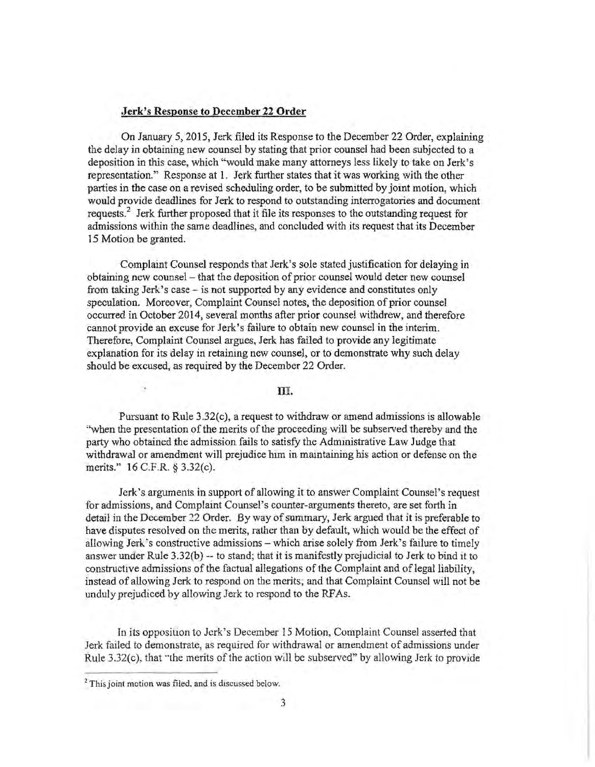#### **Jerk's Response to December 22 Order**

On January 5, 2015, Jerk filed its Response to the December 22 Order, explaining the delay jn obtaining new counsel by stating that prior counsel had been subjected to a deposition in this case, which "would make many attorneys less likely to take on Jerk's representation." Response at 1. Jerk further states that it was working with the other parties in the case on a revised scheduling order, to be submitted by joint motion, which would provide deadlines for Jerk to respond to outstanding interrogatories and document requests.<sup>2</sup> Jerk further proposed that it file its responses to the outstanding request for admissions within the same deadlines, and concluded with its request that its December 15 Motion be granted.

Complaint Counsel responds that Jerk's sole stated justification for delaying in obtaining new counsel- that the deposition of prior counsel would deter new counsel from taking Jerk's case - is not supported by any evidence and constitutes only speculation. Moreover, Complaint Counsel notes, the deposition of prior counsel occurred in October 2014, several months after prior counsel withdrew, and therefore cannot provide an excuse for Jerk's failure to obtain new counsel in the interim. Therefore, Complaint Counsel argues, Jerk has failed to provide any legitimate explanation for its delay in retainmg new counsel, or to demonstrate why such delay should be excused, as required by the December 22 Order.

#### **m.**

Pursuant to Rule  $3.32(c)$ , a request to withdraw or amend admissions is allowable ''when the presentation of the merits of the proceeding will be subserved thereby and the party who obtained the admission fails to satisfy the Admmistrative Law Judge that withdrawal or amendment will prejudice him in maintaining his action or defense on the merits." 16 C.F.R. § 3.32(c).

Jerk's arguments in support of allowing it to answer Complaint Counsel's request for admissions, and Complaint Counsel's counter-arguments thereto, are set forth in detail in the December 22 Order. By way of summary, Jerk argued that it is preferable to have disputes resolved on the merits, rather than by default, which would be the effect of allowing Jerk's constructive admissions- which arise solely from Jerk's fallure to timely answer under Rule 3.32(b) -- to stand; that it is manifestly prejudicial to Jerk to bind 1t to constructive admissions of the factual allegations of the Complaint and of legal liability, instead of allowing Jerk to respond on the merits, and that Complaint Counsel will not be unduly prejudiced by allowing Jerk to respond to the RFAs.

In its opposition to Jerk's December 15 Motion. Complaint Counsel asserted that Jerk failed to demonstrate, as required for withdrawal or amendment of admissions under Rule 3.32(c), that "the merits of the action will be subserved" by allowing Jerk to provide

<sup>&</sup>lt;sup>2</sup> This joint motion was filed, and is discussed below.